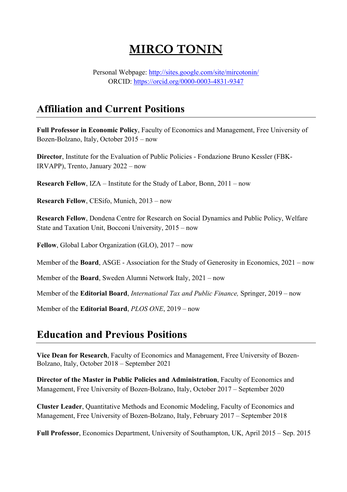# **MIRCO TONIN**

Personal Webpage: http://sites.google.com/site/mircotonin/ ORCID: https://orcid.org/0000-0003-4831-9347

# **Affiliation and Current Positions**

**Full Professor in Economic Policy**, Faculty of Economics and Management, Free University of Bozen-Bolzano, Italy, October 2015 – now

**Director**, Institute for the Evaluation of Public Policies - Fondazione Bruno Kessler (FBK-IRVAPP), Trento, January 2022 – now

**Research Fellow**, IZA – Institute for the Study of Labor, Bonn, 2011 – now

**Research Fellow**, CESifo, Munich, 2013 – now

**Research Fellow**, Dondena Centre for Research on Social Dynamics and Public Policy, Welfare State and Taxation Unit, Bocconi University, 2015 – now

**Fellow**, Global Labor Organization (GLO), 2017 – now

Member of the **Board**, ASGE - Association for the Study of Generosity in Economics, 2021 – now

Member of the **Board**, Sweden Alumni Network Italy, 2021 – now

Member of the **Editorial Board**, *International Tax and Public Finance,* Springer, 2019 – now

Member of the **Editorial Board**, *PLOS ONE*, 2019 – now

### **Education and Previous Positions**

**Vice Dean for Research**, Faculty of Economics and Management, Free University of Bozen-Bolzano, Italy, October 2018 – September 2021

**Director of the Master in Public Policies and Administration**, Faculty of Economics and Management, Free University of Bozen-Bolzano, Italy, October 2017 – September 2020

**Cluster Leader**, Quantitative Methods and Economic Modeling, Faculty of Economics and Management, Free University of Bozen-Bolzano, Italy, February 2017 – September 2018

**Full Professor**, Economics Department, University of Southampton, UK, April 2015 – Sep. 2015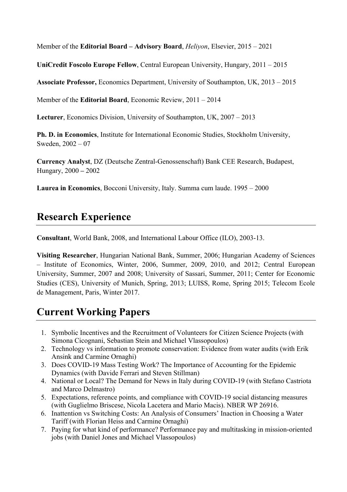Member of the **Editorial Board – Advisory Board**, *Heliyon*, Elsevier, 2015 – 2021

**UniCredit Foscolo Europe Fellow**, Central European University, Hungary, 2011 – 2015

**Associate Professor,** Economics Department, University of Southampton, UK, 2013 – 2015

Member of the **Editorial Board**, Economic Review, 2011 – 2014

**Lecturer**, Economics Division, University of Southampton, UK, 2007 – 2013

**Ph. D. in Economics**, Institute for International Economic Studies, Stockholm University, Sweden, 2002 – 07

**Currency Analyst**, DZ (Deutsche Zentral-Genossenschaft) Bank CEE Research, Budapest, Hungary, 2000 **–** 2002

**Laurea in Economics**, Bocconi University, Italy. Summa cum laude. 1995 – 2000

# **Research Experience**

**Consultant**, World Bank, 2008, and International Labour Office (ILO), 2003-13.

**Visiting Researcher**, Hungarian National Bank, Summer, 2006; Hungarian Academy of Sciences – Institute of Economics, Winter, 2006, Summer, 2009, 2010, and 2012; Central European University, Summer, 2007 and 2008; University of Sassari, Summer, 2011; Center for Economic Studies (CES), University of Munich, Spring, 2013; LUISS, Rome, Spring 2015; Telecom Ecole de Management, Paris, Winter 2017.

# **Current Working Papers**

- 1. Symbolic Incentives and the Recruitment of Volunteers for Citizen Science Projects (with Simona Cicognani, Sebastian Stein and Michael Vlassopoulos)
- 2. Technology vs information to promote conservation: Evidence from water audits (with Erik Ansink and Carmine Ornaghi)
- 3. Does COVID-19 Mass Testing Work? The Importance of Accounting for the Epidemic Dynamics (with Davide Ferrari and Steven Stillman)
- 4. National or Local? The Demand for News in Italy during COVID-19 (with Stefano Castriota and Marco Delmastro)
- 5. Expectations, reference points, and compliance with COVID-19 social distancing measures (with Guglielmo Briscese, Nicola Lacetera and Mario Macis). NBER WP 26916.
- 6. Inattention vs Switching Costs: An Analysis of Consumers' Inaction in Choosing a Water Tariff (with Florian Heiss and Carmine Ornaghi)
- 7. Paying for what kind of performance? Performance pay and multitasking in mission-oriented jobs (with Daniel Jones and Michael Vlassopoulos)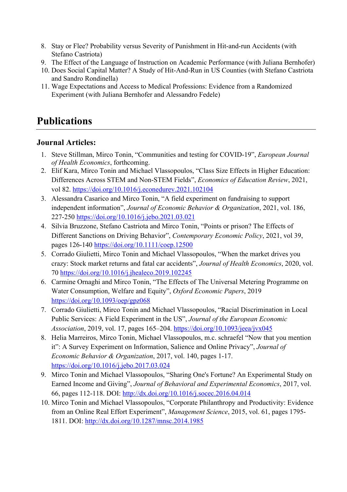- 8. Stay or Flee? Probability versus Severity of Punishment in Hit-and-run Accidents (with Stefano Castriota)
- 9. The Effect of the Language of Instruction on Academic Performance (with Juliana Bernhofer)
- 10. Does Social Capital Matter? A Study of Hit-And-Run in US Counties (with Stefano Castriota and Sandro Rondinella)
- 11. Wage Expectations and Access to Medical Professions: Evidence from a Randomized Experiment (with Juliana Bernhofer and Alessandro Fedele)

# **Publications**

### **Journal Articles:**

- 1. Steve Stillman, Mirco Tonin, "Communities and testing for COVID-19", *European Journal of Health Economics*, forthcoming.
- 2. Elif Kara, Mirco Tonin and Michael Vlassopoulos, "Class Size Effects in Higher Education: Differences Across STEM and Non-STEM Fields", *Economics of Education Review*, 2021, vol 82. https://doi.org/10.1016/j.econedurev.2021.102104
- 3. Alessandra Casarico and Mirco Tonin, "A field experiment on fundraising to support independent information", *Journal of Economic Behavior & Organization*, 2021, vol. 186, 227-250 https://doi.org/10.1016/j.jebo.2021.03.021
- 4. Silvia Bruzzone, Stefano Castriota and Mirco Tonin, "Points or prison? The Effects of Different Sanctions on Driving Behavior", *Contemporary Economic Policy*, 2021, vol 39, pages 126-140 https://doi.org/10.1111/coep.12500
- 5. Corrado Giulietti, Mirco Tonin and Michael Vlassopoulos, "When the market drives you crazy: Stock market returns and fatal car accidents", *Journal of Health Economics*, 2020, vol. 70 https://doi.org/10.1016/j.jhealeco.2019.102245
- 6. Carmine Ornaghi and Mirco Tonin, "The Effects of The Universal Metering Programme on Water Consumption, Welfare and Equity", *Oxford Economic Papers*, 2019 https://doi.org/10.1093/oep/gpz068
- 7. Corrado Giulietti, Mirco Tonin and Michael Vlassopoulos, "Racial Discrimination in Local Public Services: A Field Experiment in the US", *Journal of the European Economic Association*, 2019, vol. 17, pages 165–204. https://doi.org/10.1093/jeea/jvx045
- 8. Helia Marreiros, Mirco Tonin, Michael Vlassopoulos, m.c. schraefel "Now that you mention it": A Survey Experiment on Information, Salience and Online Privacy", *Journal of Economic Behavior & Organization*, 2017, vol. 140, pages 1-17. https://doi.org/10.1016/j.jebo.2017.03.024
- 9. Mirco Tonin and Michael Vlassopoulos, "Sharing One's Fortune? An Experimental Study on Earned Income and Giving", *Journal of Behavioral and Experimental Economics*, 2017, vol. 66, pages 112-118. DOI: http://dx.doi.org/10.1016/j.socec.2016.04.014
- 10. Mirco Tonin and Michael Vlassopoulos, "Corporate Philanthropy and Productivity: Evidence from an Online Real Effort Experiment", *Management Science*, 2015, vol. 61, pages 1795- 1811. DOI: http://dx.doi.org/10.1287/mnsc.2014.1985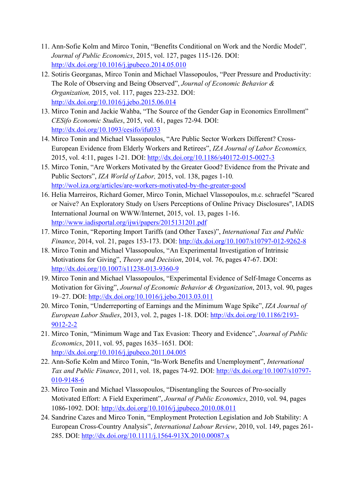- 11. Ann-Sofie Kolm and Mirco Tonin, "Benefits Conditional on Work and the Nordic Model"*, Journal of Public Economics*, 2015, vol. 127, pages 115-126. DOI: http://dx.doi.org/10.1016/j.jpubeco.2014.05.010
- 12. Sotiris Georganas, Mirco Tonin and Michael Vlassopoulos, "Peer Pressure and Productivity: The Role of Observing and Being Observed", *Journal of Economic Behavior & Organization,* 2015, vol. 117, pages 223-232. DOI: http://dx.doi.org/10.1016/j.jebo.2015.06.014
- 13. Mirco Tonin and Jackie Wahba, "The Source of the Gender Gap in Economics Enrollment" *CESifo Economic Studies*, 2015, vol. 61, pages 72-94*.* DOI: http://dx.doi.org/10.1093/cesifo/ifu033
- 14. Mirco Tonin and Michael Vlassopoulos, "Are Public Sector Workers Different? Cross-European Evidence from Elderly Workers and Retirees", *IZA Journal of Labor Economics,*  2015, vol. 4:11, pages 1-21. DOI: http://dx.doi.org/10.1186/s40172-015-0027-3
- 15. Mirco Tonin, "Are Workers Motivated by the Greater Good? Evidence from the Private and Public Sectors", *IZA World of Labor,* 2015, vol. 138, pages 1-10*.* http://wol.iza.org/articles/are-workers-motivated-by-the-greater-good
- 16. Helia Marreiros, Richard Gomer, Mirco Tonin, Michael Vlassopoulos, m.c. schraefel "Scared or Naive? An Exploratory Study on Users Perceptions of Online Privacy Disclosures", IADIS International Journal on WWW/Internet, 2015, vol. 13, pages 1-16. http://www.iadisportal.org/ijwi/papers/2015131201.pdf
- 17. Mirco Tonin, "Reporting Import Tariffs (and Other Taxes)", *International Tax and Public Finance*, 2014, vol. 21, pages 153-173. DOI: http://dx.doi.org/10.1007/s10797-012-9262-8
- 18. Mirco Tonin and Michael Vlassopoulos, "An Experimental Investigation of Intrinsic Motivations for Giving", *Theory and Decision*, 2014, vol. 76, pages 47-67. DOI: http://dx.doi.org/10.1007/s11238-013-9360-9
- 19. Mirco Tonin and Michael Vlassopoulos, "Experimental Evidence of Self-Image Concerns as Motivation for Giving", *Journal of Economic Behavior & Organization*, 2013, vol. 90, pages 19–27. DOI: http://dx.doi.org/10.1016/j.jebo.2013.03.011
- 20. Mirco Tonin, "Underreporting of Earnings and the Minimum Wage Spike", *IZA Journal of European Labor Studies*, 2013, vol. 2, pages 1-18. DOI: http://dx.doi.org/10.1186/2193- 9012-2-2
- 21. Mirco Tonin, "Minimum Wage and Tax Evasion: Theory and Evidence", *Journal of Public Economics*, 2011, vol. 95, pages 1635–1651*.* DOI: http://dx.doi.org/10.1016/j.jpubeco.2011.04.005
- 22. Ann-Sofie Kolm and Mirco Tonin, "In-Work Benefits and Unemployment", *International Tax and Public Finance*, 2011, vol. 18, pages 74-92. DOI: http://dx.doi.org/10.1007/s10797- 010-9148-6
- 23. Mirco Tonin and Michael Vlassopoulos, "Disentangling the Sources of Pro-socially Motivated Effort: A Field Experiment", *Journal of Public Economics*, 2010, vol. 94, pages 1086-1092. DOI: http://dx.doi.org/10.1016/j.jpubeco.2010.08.011
- 24. Sandrine Cazes and Mirco Tonin, "Employment Protection Legislation and Job Stability: A European Cross-Country Analysis", *International Labour Review*, 2010, vol. 149, pages 261- 285. DOI: http://dx.doi.org/10.1111/j.1564-913X.2010.00087.x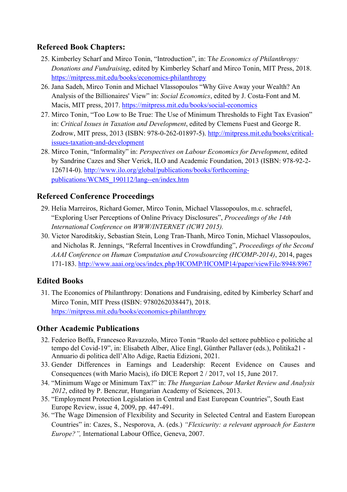### **Refereed Book Chapters:**

- 25. Kimberley Scharf and Mirco Tonin, "Introduction", in: T*he Economics of Philanthropy: Donations and Fundraising*, edited by Kimberley Scharf and Mirco Tonin, MIT Press, 2018. https://mitpress.mit.edu/books/economics-philanthropy
- 26. Jana Sadeh, Mirco Tonin and Michael Vlassopoulos "Why Give Away your Wealth? An Analysis of the Billionaires' View" in: *Social Economics*, edited by J. Costa-Font and M. Macis, MIT press, 2017. https://mitpress.mit.edu/books/social-economics
- 27. Mirco Tonin, "Too Low to Be True: The Use of Minimum Thresholds to Fight Tax Evasion" in: *Critical Issues in Taxation and Development*, edited by Clemens Fuest and George R. Zodrow, MIT press, 2013 (ISBN: 978-0-262-01897-5). http://mitpress.mit.edu/books/criticalissues-taxation-and-development
- 28. Mirco Tonin, "Informality" in: *Perspectives on Labour Economics for Development*, edited by Sandrine Cazes and Sher Verick, ILO and Academic Foundation, 2013 (ISBN: 978-92-2- 126714-0). http://www.ilo.org/global/publications/books/forthcomingpublications/WCMS\_190112/lang--en/index.htm

### **Refereed Conference Proceedings**

- 29. Helia Marreiros, Richard Gomer, Mirco Tonin, Michael Vlassopoulos, m.c. schraefel, "Exploring User Perceptions of Online Privacy Disclosures", *Proceedings of the 14th International Conference on WWW/INTERNET (ICWI 2015).*
- 30. Victor Naroditskiy, Sebastian Stein, Long Tran-Thanh, Mirco Tonin, Michael Vlassopoulos, and Nicholas R. Jennings, "Referral Incentives in Crowdfunding", *Proceedings of the Second AAAI Conference on Human Computation and Crowdsourcing (HCOMP-2014)*, 2014, pages 171-183. http://www.aaai.org/ocs/index.php/HCOMP/HCOMP14/paper/viewFile/8948/8967

### **Edited Books**

31. The Economics of Philanthropy: Donations and Fundraising, edited by Kimberley Scharf and Mirco Tonin, MIT Press (ISBN: 9780262038447), 2018. https://mitpress.mit.edu/books/economics-philanthropy

### **Other Academic Publications**

- 32. Federico Boffa, Francesco Ravazzolo, Mirco Tonin "Ruolo del settore pubblico e politiche al tempo del Covid-19", in: Elisabeth Alber, Alice Engl, Günther Pallaver (eds.), Politika21 - Annuario di politica dell'Alto Adige, Raetia Edizioni, 2021.
- 33. Gender Differences in Earnings and Leadership: Recent Evidence on Causes and Consequences (with Mario Macis), ifo DICE Report 2 / 2017, vol 15, June 2017.
- 34. "Minimum Wage or Minimum Tax?" in: *The Hungarian Labour Market Review and Analysis 2012*, edited by P. Benczur, Hungarian Academy of Sciences, 2013.
- 35. "Employment Protection Legislation in Central and East European Countries", South East Europe Review, issue 4, 2009, pp. 447-491.
- 36. "The Wage Dimension of Flexibility and Security in Selected Central and Eastern European Countries" in: Cazes, S., Nesporova, A. (eds.) *"Flexicurity: a relevant approach for Eastern Europe?",* International Labour Office, Geneva, 2007.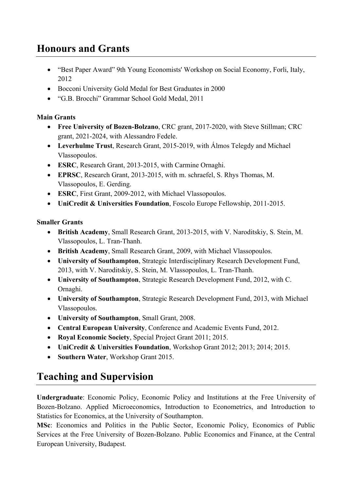# **Honours and Grants**

- "Best Paper Award" 9th Young Economists' Workshop on Social Economy, Forli, Italy, 2012
- Bocconi University Gold Medal for Best Graduates in 2000
- "G.B. Brocchi" Grammar School Gold Medal, 2011

#### **Main Grants**

- **Free University of Bozen-Bolzano**, CRC grant, 2017-2020, with Steve Stillman; CRC grant, 2021-2024, with Alessandro Fedele.
- **Leverhulme Trust**, Research Grant, 2015-2019, with Álmos Telegdy and Michael Vlassopoulos.
- **ESRC**, Research Grant, 2013-2015, with Carmine Ornaghi.
- **EPRSC**, Research Grant, 2013-2015, with m. schraefel, S. Rhys Thomas, M. Vlassopoulos, E. Gerding.
- **ESRC**, First Grant, 2009-2012, with Michael Vlassopoulos.
- **UniCredit & Universities Foundation**, Foscolo Europe Fellowship, 2011-2015.

### **Smaller Grants**

- **British Academy**, Small Research Grant, 2013-2015, with V. Naroditskiy, S. Stein, M. Vlassopoulos, L. Tran-Thanh.
- **British Academy**, Small Research Grant, 2009, with Michael Vlassopoulos.
- **University of Southampton**, Strategic Interdisciplinary Research Development Fund, 2013, with V. Naroditskiy, S. Stein, M. Vlassopoulos, L. Tran-Thanh.
- **University of Southampton**, Strategic Research Development Fund, 2012, with C. Ornaghi.
- **University of Southampton**, Strategic Research Development Fund, 2013, with Michael Vlassopoulos.
- **University of Southampton**, Small Grant, 2008.
- **Central European University**, Conference and Academic Events Fund, 2012.
- **Royal Economic Society**, Special Project Grant 2011; 2015.
- **UniCredit & Universities Foundation**, Workshop Grant 2012; 2013; 2014; 2015.
- **Southern Water**, Workshop Grant 2015.

# **Teaching and Supervision**

**Undergraduate**: Economic Policy, Economic Policy and Institutions at the Free University of Bozen-Bolzano. Applied Microeconomics, Introduction to Econometrics, and Introduction to Statistics for Economics, at the University of Southampton.

**MSc**: Economics and Politics in the Public Sector, Economic Policy, Economics of Public Services at the Free University of Bozen-Bolzano. Public Economics and Finance, at the Central European University, Budapest.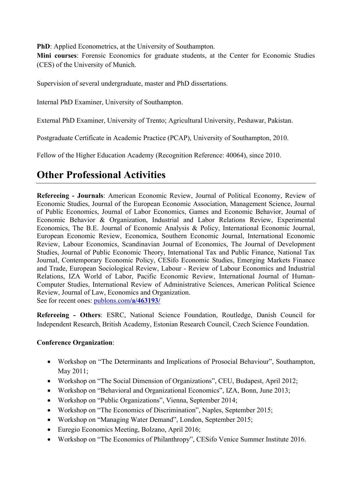**PhD**: Applied Econometrics, at the University of Southampton.

**Mini courses**: Forensic Economics for graduate students, at the Center for Economic Studies (CES) of the University of Munich.

Supervision of several undergraduate, master and PhD dissertations.

Internal PhD Examiner, University of Southampton.

External PhD Examiner, University of Trento; Agricultural University, Peshawar, Pakistan.

Postgraduate Certificate in Academic Practice (PCAP), University of Southampton, 2010.

Fellow of the Higher Education Academy (Recognition Reference: 40064), since 2010.

# **Other Professional Activities**

**Refereeing - Journals**: American Economic Review, Journal of Political Economy, Review of Economic Studies, Journal of the European Economic Association, Management Science, Journal of Public Economics, Journal of Labor Economics, Games and Economic Behavior, Journal of Economic Behavior & Organization, Industrial and Labor Relations Review, Experimental Economics, The B.E. Journal of Economic Analysis & Policy, International Economic Journal, European Economic Review, Economica, Southern Economic Journal, International Economic Review, Labour Economics, Scandinavian Journal of Economics, The Journal of Development Studies, Journal of Public Economic Theory, International Tax and Public Finance, National Tax Journal, Contemporary Economic Policy, CESifo Economic Studies, Emerging Markets Finance and Trade, European Sociological Review, Labour - Review of Labour Economics and Industrial Relations, IZA World of Labor, Pacific Economic Review, International Journal of Human-Computer Studies, International Review of Administrative Sciences, American Political Science Review, Journal of Law, Economics and Organization. See for recent ones: publons.com**/a/463193/**

**Refereeing - Others**: ESRC, National Science Foundation, Routledge, Danish Council for Independent Research, British Academy, Estonian Research Council, Czech Science Foundation.

#### **Conference Organization**:

- Workshop on "The Determinants and Implications of Prosocial Behaviour", Southampton, May 2011;
- Workshop on "The Social Dimension of Organizations", CEU, Budapest, April 2012;
- Workshop on "Behavioral and Organizational Economics", IZA, Bonn, June 2013;
- Workshop on "Public Organizations", Vienna, September 2014;
- Workshop on "The Economics of Discrimination", Naples, September 2015;
- Workshop on "Managing Water Demand", London, September 2015;
- Euregio Economics Meeting, Bolzano, April 2016;
- Workshop on "The Economics of Philanthropy", CESifo Venice Summer Institute 2016.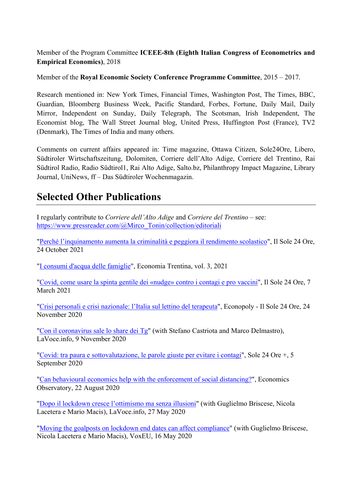Member of the Program Committee **ICEEE-8th (Eighth Italian Congress of Econometrics and Empirical Economics)**, 2018

Member of the **Royal Economic Society Conference Programme Committee**, 2015 – 2017.

Research mentioned in: New York Times, Financial Times, Washington Post, The Times, BBC, Guardian, Bloomberg Business Week, Pacific Standard, Forbes, Fortune, Daily Mail, Daily Mirror, Independent on Sunday, Daily Telegraph, The Scotsman, Irish Independent, The Economist blog, The Wall Street Journal blog, United Press, Huffington Post (France), TV2 (Denmark), The Times of India and many others.

Comments on current affairs appeared in: Time magazine, Ottawa Citizen, Sole24Ore, Libero, Südtiroler Wirtschaftszeitung, Dolomiten, Corriere dell'Alto Adige, Corriere del Trentino, Rai Südtirol Radio, Radio Südtirol1, Rai Alto Adige, Salto.bz, Philanthropy Impact Magazine, Library Journal, UniNews, ff – Das Südtiroler Wochenmagazin.

# **Selected Other Publications**

I regularly contribute to *Corriere dell'Alto Adige* and *Corriere del Trentino* – see: https://www.pressreader.com/@Mirco\_Tonin/collection/editoriali

"Perché l'inquinamento aumenta la criminalità e peggiora il rendimento scolastico", Il Sole 24 Ore, 24 October 2021

"I consumi d'acqua delle famiglie", Economia Trentina, vol. 3, 2021

"Covid, come usare la spinta gentile dei «nudge» contro i contagi e pro vaccini", Il Sole 24 Ore, 7 March 2021

"Crisi personali e crisi nazionale: l'Italia sul lettino del terapeuta", Econopoly - Il Sole 24 Ore, 24 November 2020

"Con il coronavirus sale lo share dei Tg" (with Stefano Castriota and Marco Delmastro), LaVoce.info, 9 November 2020

"Covid: tra paura e sottovalutazione, le parole giuste per evitare i contagi", Sole 24 Ore +, 5 September 2020

"Can behavioural economics help with the enforcement of social distancing?", Economics Observatory, 22 August 2020

"Dopo il lockdown cresce l'ottimismo ma senza illusioni" (with Guglielmo Briscese, Nicola Lacetera e Mario Macis), LaVoce.info, 27 May 2020

"Moving the goalposts on lockdown end dates can affect compliance" (with Guglielmo Briscese, Nicola Lacetera e Mario Macis), VoxEU, 16 May 2020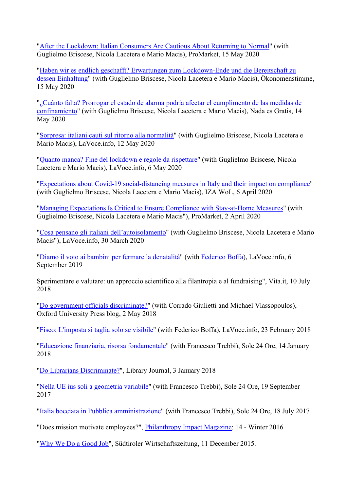"After the Lockdown: Italian Consumers Are Cautious About Returning to Normal" (with Guglielmo Briscese, Nicola Lacetera e Mario Macis), ProMarket, 15 May 2020

"Haben wir es endlich geschafft? Erwartungen zum Lockdown-Ende und die Bereitschaft zu dessen Einhaltung" (with Guglielmo Briscese, Nicola Lacetera e Mario Macis), Ökonomenstimme, 15 May 2020

"¿Cuánto falta? Prorrogar el estado de alarma podría afectar el cumplimento de las medidas de confinamiento" (with Guglielmo Briscese, Nicola Lacetera e Mario Macis), Nada es Gratis, 14 May 2020

"Sorpresa: italiani cauti sul ritorno alla normalità" (with Guglielmo Briscese, Nicola Lacetera e Mario Macis), LaVoce.info, 12 May 2020

"Quanto manca? Fine del lockdown e regole da rispettare" (with Guglielmo Briscese, Nicola Lacetera e Mario Macis), LaVoce.info, 6 May 2020

"Expectations about Covid-19 social-distancing measures in Italy and their impact on compliance" (with Guglielmo Briscese, Nicola Lacetera e Mario Macis), IZA WoL, 6 April 2020

"Managing Expectations Is Critical to Ensure Compliance with Stay-at-Home Measures" (with Guglielmo Briscese, Nicola Lacetera e Mario Macis"), ProMarket, 2 April 2020

"Cosa pensano gli italiani dell'autoisolamento" (with Guglielmo Briscese, Nicola Lacetera e Mario Macis"), LaVoce.info, 30 March 2020

"Diamo il voto ai bambini per fermare la denatalità" (with Federico Boffa), LaVoce.info, 6 September 2019

Sperimentare e valutare: un approccio scientifico alla filantropia e al fundraising", Vita.it, 10 July 2018

"Do government officials discriminate?" (with Corrado Giulietti and Michael Vlassopoulos), Oxford University Press blog, 2 May 2018

"Fisco: L'imposta si taglia solo se visibile" (with Federico Boffa), LaVoce.info, 23 February 2018

"Educazione finanziaria, risorsa fondamentale" (with Francesco Trebbi), Sole 24 Ore, 14 January 2018

"Do Librarians Discriminate?", Library Journal, 3 January 2018

"Nella UE ius soli a geometria variabile" (with Francesco Trebbi), Sole 24 Ore, 19 September 2017

"Italia bocciata in Pubblica amministrazione" (with Francesco Trebbi), Sole 24 Ore, 18 July 2017

"Does mission motivate employees?", Philanthropy Impact Magazine: 14 - Winter 2016

"Why We Do a Good Job", Südtiroler Wirtschaftszeitung, 11 December 2015.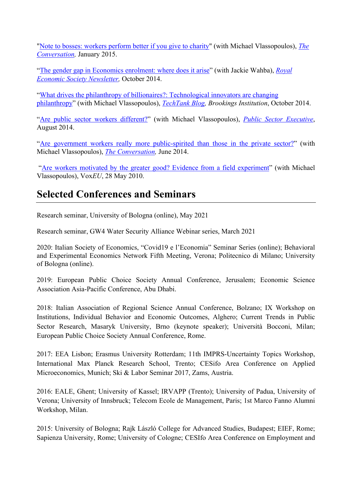"Note to bosses: workers perform better if you give to charity" (with Michael Vlassopoulos), *The Conversation,* January 2015.

"The gender gap in Economics enrolment: where does it arise" (with Jackie Wahba), *Royal Economic Society Newsletter,* October 2014.

"What drives the philanthropy of billionaires?: Technological innovators are changing philanthropy" (with Michael Vlassopoulos), *TechTank Blog, Brookings Institution*, October 2014.

"Are public sector workers different?" (with Michael Vlassopoulos), *Public Sector Executive*, August 2014.

"Are government workers really more public-spirited than those in the private sector?" (with Michael Vlassopoulos), *The Conversation,* June 2014.

"Are workers motivated by the greater good? Evidence from a field experiment" (with Michael Vlassopoulos), Vox*EU*, 28 May 2010.

# **Selected Conferences and Seminars**

Research seminar, University of Bologna (online), May 2021

Research seminar, GW4 Water Security Alliance Webinar series, March 2021

2020: Italian Society of Economics, "Covid19 e l'Economia" Seminar Series (online); Behavioral and Experimental Economics Network Fifth Meeting, Verona; Politecnico di Milano; University of Bologna (online).

2019: European Public Choice Society Annual Conference, Jerusalem; Economic Science Association Asia-Pacific Conference, Abu Dhabi.

2018: Italian Association of Regional Science Annual Conference, Bolzano; IX Workshop on Institutions, Individual Behavior and Economic Outcomes, Alghero; Current Trends in Public Sector Research, Masaryk University, Brno (keynote speaker); Università Bocconi, Milan; European Public Choice Society Annual Conference, Rome.

2017: EEA Lisbon; Erasmus University Rotterdam; 11th IMPRS-Uncertainty Topics Workshop, International Max Planck Research School, Trento; CESifo Area Conference on Applied Microeconomics, Munich; Ski & Labor Seminar 2017, Zams, Austria.

2016: EALE, Ghent; University of Kassel; IRVAPP (Trento); University of Padua, University of Verona; University of Innsbruck; Telecom Ecole de Management, Paris; 1st Marco Fanno Alumni Workshop, Milan.

2015: University of Bologna; Rajk László College for Advanced Studies, Budapest; EIEF, Rome; Sapienza University, Rome; University of Cologne; CESIfo Area Conference on Employment and